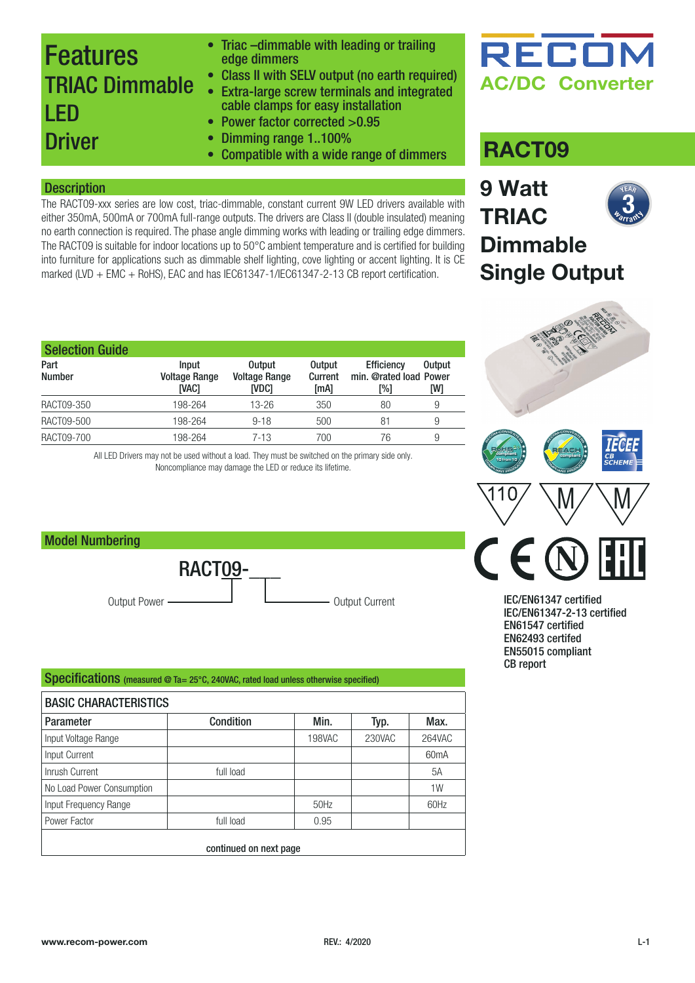### Features TRIAC Dimmable LED **Driver**

- Triac –dimmable with leading or trailing edge dimmers
- Class II with SELV output (no earth required)
- Extra-large screw terminals and integrated cable clamps for easy installation
- Power factor corrected >0.95
- 
- Dimming range 1..100% • Compatible with a wide range of dimmers

#### **Description**

The RACT09-xxx series are low cost, triac-dimmable, constant current 9W LED drivers available with either 350mA, 500mA or 700mA full-range outputs. The drivers are Class II (double insulated) meaning no earth connection is required. The phase angle dimming works with leading or trailing edge dimmers. The RACT09 is suitable for indoor locations up to 50°C ambient temperature and is certified for building into furniture for applications such as dimmable shelf lighting, cove lighting or accent lighting. It is CE marked (LVD + EMC + RoHS), EAC and has IEC61347-1/IEC61347-2-13 CB report certification.

| <b>Selection Guide</b> |                                               |                                                       |                                  |                                                    |                      |
|------------------------|-----------------------------------------------|-------------------------------------------------------|----------------------------------|----------------------------------------------------|----------------------|
| Part<br><b>Number</b>  | Input<br><b>Voltage Range</b><br><b>IVAC1</b> | <b>Output</b><br><b>Voltage Range</b><br><b>INDC1</b> | <b>Output</b><br>Current<br>[mA] | <b>Efficiency</b><br>min. @rated load Power<br>[%] | <b>Output</b><br>[W] |
| RACT09-350             | 198-264                                       | $13 - 26$                                             | 350                              | 80                                                 | 9                    |
| RACT09-500             | 198-264                                       | $9 - 18$                                              | 500                              | 81                                                 | 9                    |
| RACT09-700             | 198-264                                       | $7 - 13$                                              | 700                              | 76                                                 | 9                    |

All LED Drivers may not be used without a load. They must be switched on the primary side only. Noncompliance may damage the LED or reduce its lifetime.

Output Power ———————————————————————— Output Current

#### Specifications (measured @ Ta= 25°C, 240VAC, rated load unless otherwise specified)

RACT09-

| <b>BASIC CHARACTERISTICS</b> |                        |               |        |                   |  |
|------------------------------|------------------------|---------------|--------|-------------------|--|
| <b>Parameter</b>             | <b>Condition</b>       | Min.          | Typ.   | Max.              |  |
| Input Voltage Range          |                        | <b>198VAC</b> | 230VAC | 264VAC            |  |
| Input Current                |                        |               |        | 60 <sub>m</sub> A |  |
| Inrush Current               | full load              |               |        | 5A                |  |
| No Load Power Consumption    |                        |               |        | 1W                |  |
| Input Frequency Range        |                        | 50Hz          |        | 60Hz              |  |
| Power Factor                 | full load              | 0.95          |        |                   |  |
|                              | continued on next page |               |        |                   |  |



### **RACT09**

**9 Watt**

**TRIAC**

**NEAR Warrant**  $\overline{3}$ 

### **Dimmable Single Output**



IEC/EN61347 certified IEC/EN61347-2-13 certified EN61547 certified EN62493 certifed EN55015 compliant CB report

Model Numbering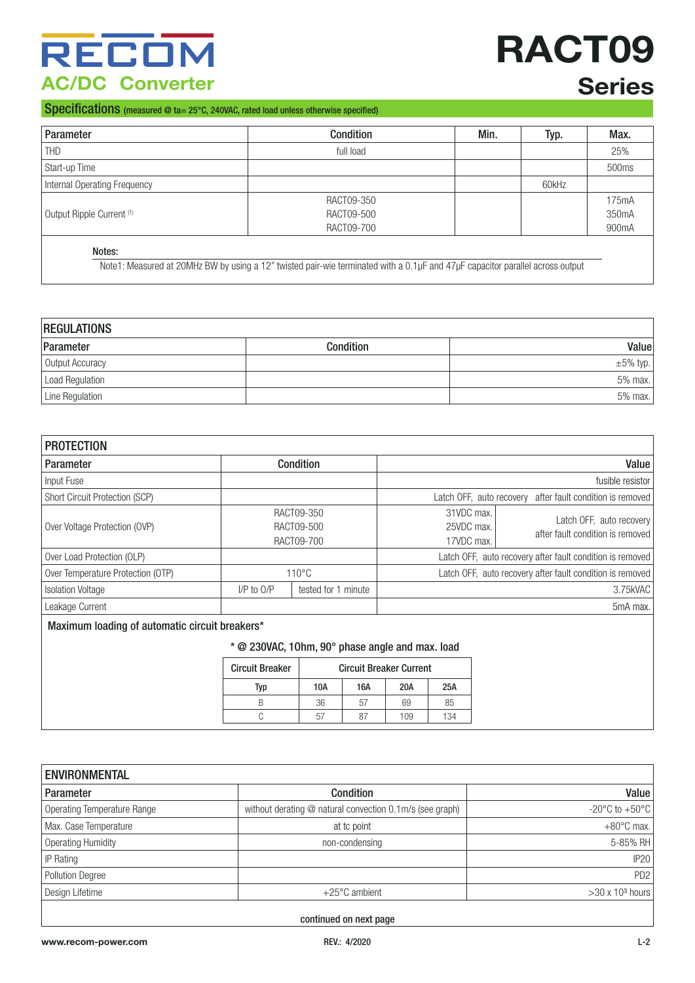## RECOM **AC/DC Converter**

# **RACT09 Series**

#### Specifications (measured @ ta= 25°C, 240VAC, rated load unless otherwise specified)

| Parameter                            | Condition  | Min. | Typ.  | Max.  |
|--------------------------------------|------------|------|-------|-------|
| <b>THD</b>                           | full load  |      |       | 25%   |
| Start-up Time                        |            |      |       | 500ms |
| Internal Operating Frequency         |            |      | 60kHz |       |
|                                      | RACT09-350 |      |       | 175mA |
| Output Ripple Current <sup>(1)</sup> | RACT09-500 |      |       | 350mA |
|                                      | RACT09-700 |      |       | 900mA |

Note1: Measured at 20MHz BW by using a 12" twisted pair-wie terminated with a 0.1µF and 47µF capacitor parallel across output

| <b>REGULATIONS</b> |           |                |  |
|--------------------|-----------|----------------|--|
| Parameter          | Condition | Valuel         |  |
| Output Accuracy    |           | $\pm 5\%$ typ. |  |
| Load Regulation    |           | 5% max.        |  |
| Line Regulation    |           | 5% max.        |  |

| <b>PROTECTION</b>                              |                                                           |                                        |                                        |                                                              |
|------------------------------------------------|-----------------------------------------------------------|----------------------------------------|----------------------------------------|--------------------------------------------------------------|
| Parameter                                      |                                                           | <b>Condition</b>                       |                                        | Value                                                        |
| Input Fuse                                     |                                                           |                                        |                                        | fusible resistor                                             |
| Short Circuit Protection (SCP)                 | Latch OFF, auto recovery after fault condition is removed |                                        |                                        |                                                              |
| Over Voltage Protection (OVP)                  |                                                           | RACT09-350<br>RACT09-500<br>RACT09-700 | 31VDC max.<br>25VDC max.<br>17VDC max. | Latch OFF, auto recovery<br>after fault condition is removed |
| Over Load Protection (OLP)                     |                                                           |                                        |                                        | Latch OFF, auto recovery after fault condition is removed    |
| Over Temperature Protection (OTP)              |                                                           | $110^{\circ}$ C                        |                                        | Latch OFF, auto recovery after fault condition is removed    |
| <b>Isolation Voltage</b>                       | $I/P$ to $O/P$                                            | tested for 1 minute                    | 3.75kVAC                               |                                                              |
| Leakage Current                                |                                                           |                                        |                                        | 5mA max.                                                     |
| Maximum loading of automatic circuit breakers* |                                                           |                                        |                                        |                                                              |

Maximum loading of automatic circuit breakers\*

#### \* @ 230VAC, 1Ohm, 90° phase angle and max. load

| <b>Circuit Breaker</b> | <b>Circuit Breaker Current</b> |     |     |     |
|------------------------|--------------------------------|-----|-----|-----|
| Typ                    | 10A                            | 16A | 20A | 25A |
|                        | 36                             | 57  | 69  | 85  |
|                        | ו ה                            |     | 109 | 134 |

| <b>ENVIRONMENTAL</b>        |                                                          |                                    |
|-----------------------------|----------------------------------------------------------|------------------------------------|
| <b>Parameter</b>            | Condition                                                | Value                              |
| Operating Temperature Range | without derating @ natural convection 0.1m/s (see graph) | -20 $\degree$ C to +50 $\degree$ C |
| Max. Case Temperature       | at tc point                                              | $+80^{\circ}$ C max.               |
| <b>Operating Humidity</b>   | non-condensing                                           | 5-85% RH                           |
| IP Rating                   |                                                          | <b>IP20</b>                        |
| <b>Pollution Degree</b>     |                                                          | PD <sub>2</sub>                    |
| Design Lifetime             | $+25^{\circ}$ C ambient                                  | $>30 \times 103$ hours             |
|                             |                                                          |                                    |

continued on next page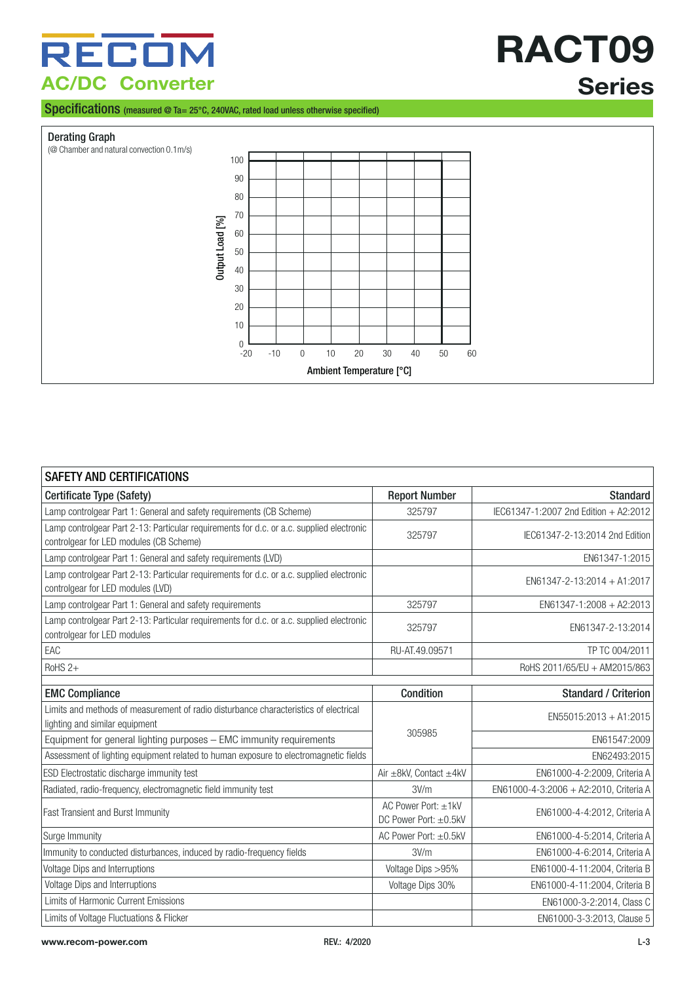Specifications (measured @ Ta= 25°C, 240VAC, rated load unless otherwise specified)

#### Derating Graph



| <b>SAFETY AND CERTIFICATIONS</b>                                                                                                    |                                              |                                        |
|-------------------------------------------------------------------------------------------------------------------------------------|----------------------------------------------|----------------------------------------|
| Certificate Type (Safety)                                                                                                           | <b>Report Number</b>                         | <b>Standard</b>                        |
| Lamp controlgear Part 1: General and safety requirements (CB Scheme)                                                                | 325797                                       | IEC61347-1:2007 2nd Edition + A2:2012  |
| Lamp controlgear Part 2-13: Particular requirements for d.c. or a.c. supplied electronic<br>controlgear for LED modules (CB Scheme) | 325797                                       | IEC61347-2-13:2014 2nd Edition         |
| Lamp controlgear Part 1: General and safety requirements (LVD)                                                                      |                                              | EN61347-1:2015                         |
| Lamp controlgear Part 2-13: Particular requirements for d.c. or a.c. supplied electronic<br>controlgear for LED modules (LVD)       |                                              | $EN61347 - 2 - 13:2014 + A1:2017$      |
| Lamp controlgear Part 1: General and safety requirements                                                                            | 325797                                       | EN61347-1:2008 + A2:2013               |
| Lamp controlgear Part 2-13: Particular requirements for d.c. or a.c. supplied electronic<br>controlgear for LED modules             | 325797                                       | EN61347-2-13:2014                      |
| EAC                                                                                                                                 | RU-AT.49.09571                               | TP TC 004/2011                         |
| RoHS <sub>2+</sub>                                                                                                                  |                                              | RoHS 2011/65/EU + AM2015/863           |
| <b>EMC Compliance</b>                                                                                                               | <b>Condition</b>                             | <b>Standard / Criterion</b>            |
| Limits and methods of measurement of radio disturbance characteristics of electrical                                                |                                              | $EN55015:2013 + A1:2015$               |
| lighting and similar equipment                                                                                                      | 305985                                       |                                        |
| Equipment for general lighting purposes - EMC immunity requirements                                                                 |                                              | EN61547:2009                           |
| Assessment of lighting equipment related to human exposure to electromagnetic fields                                                |                                              | EN62493:2015                           |
| ESD Electrostatic discharge immunity test                                                                                           | Air ±8kV, Contact ±4kV                       | EN61000-4-2:2009, Criteria A           |
| Radiated, radio-frequency, electromagnetic field immunity test                                                                      | 3V/m                                         | EN61000-4-3:2006 + A2:2010, Criteria A |
| <b>Fast Transient and Burst Immunity</b>                                                                                            | AC Power Port: ±1kV<br>DC Power Port: ±0.5kV | EN61000-4-4:2012, Criteria A           |
| Surge Immunity                                                                                                                      | AC Power Port: ±0.5kV                        | EN61000-4-5:2014, Criteria A           |
| Immunity to conducted disturbances, induced by radio-frequency fields                                                               | 3V/m                                         | EN61000-4-6:2014, Criteria A           |
| Voltage Dips and Interruptions                                                                                                      | Voltage Dips > 95%                           | EN61000-4-11:2004, Criteria B          |
| Voltage Dips and Interruptions                                                                                                      | Voltage Dips 30%                             | EN61000-4-11:2004, Criteria B          |
| Limits of Harmonic Current Emissions                                                                                                |                                              | EN61000-3-2:2014, Class C              |
| Limits of Voltage Fluctuations & Flicker                                                                                            |                                              | EN61000-3-3:2013, Clause 5             |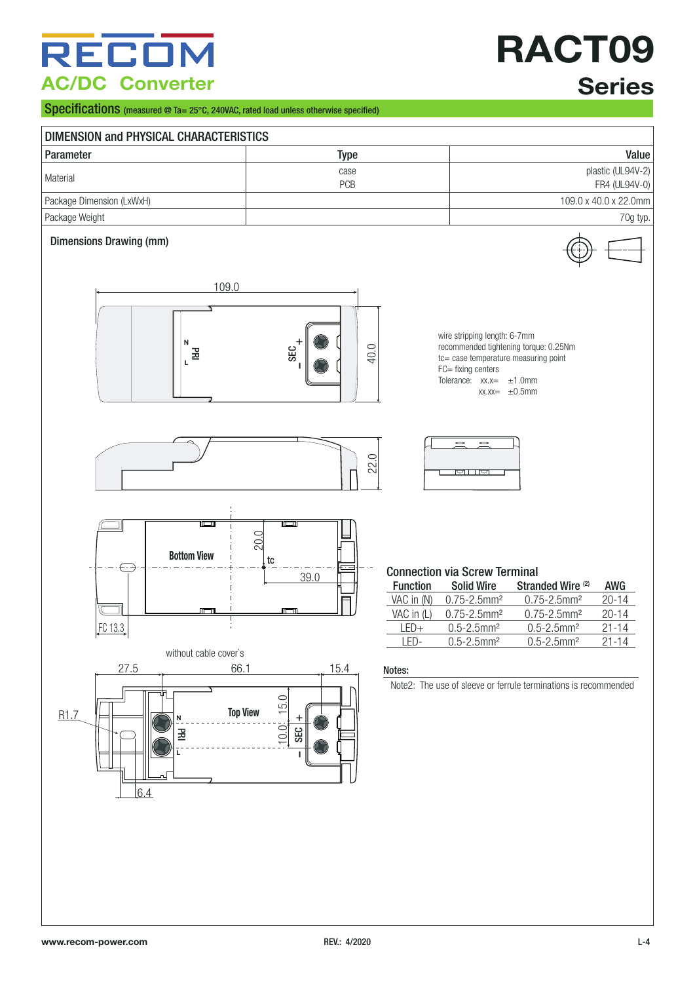## RECO **AC/DC Converter**

# **RACT09 Series**